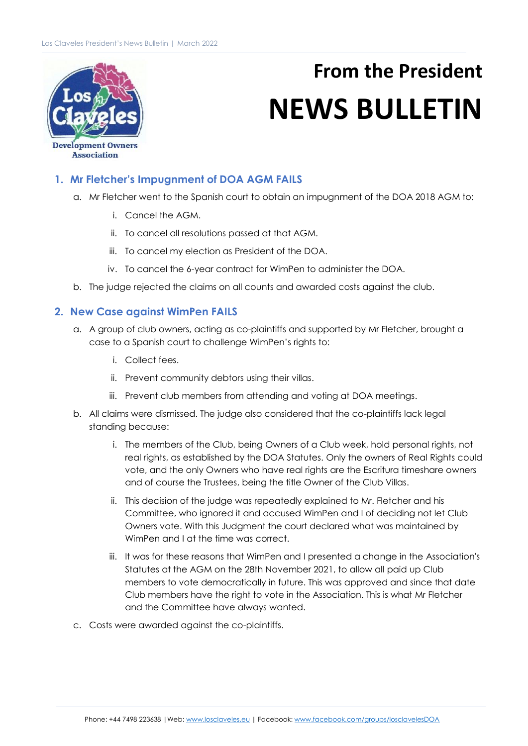

## **From the President NEWS BULLETIN**

**Development Owners Association** 

## **1. Mr Fletcher's Impugnment of DOA AGM FAILS**

- a. Mr Fletcher went to the Spanish court to obtain an impugnment of the DOA 2018 AGM to:
	- i. Cancel the AGM.
	- ii. To cancel all resolutions passed at that AGM.
	- iii. To cancel my election as President of the DOA.
	- iv. To cancel the 6-year contract for WimPen to administer the DOA.
- b. The judge rejected the claims on all counts and awarded costs against the club.

## **2. New Case against WimPen FAILS**

- a. A group of club owners, acting as co-plaintiffs and supported by Mr Fletcher, brought a case to a Spanish court to challenge WimPen's rights to:
	- i. Collect fees.
	- ii. Prevent community debtors using their villas.
	- iii. Prevent club members from attending and voting at DOA meetings.
- b. All claims were dismissed. The judge also considered that the co-plaintiffs lack legal standing because:
	- i. The members of the Club, being Owners of a Club week, hold personal rights, not real rights, as established by the DOA Statutes. Only the owners of Real Rights could vote, and the only Owners who have real rights are the Escritura timeshare owners and of course the Trustees, being the title Owner of the Club Villas.
	- ii. This decision of the judge was repeatedly explained to Mr. Fletcher and his Committee, who ignored it and accused WimPen and I of deciding not let Club Owners vote. With this Judgment the court declared what was maintained by WimPen and I at the time was correct.
	- iii. It was for these reasons that WimPen and I presented a change in the Association's Statutes at the AGM on the 28th November 2021, to allow all paid up Club members to vote democratically in future. This was approved and since that date Club members have the right to vote in the Association. This is what Mr Fletcher and the Committee have always wanted.
- c. Costs were awarded against the co-plaintiffs.